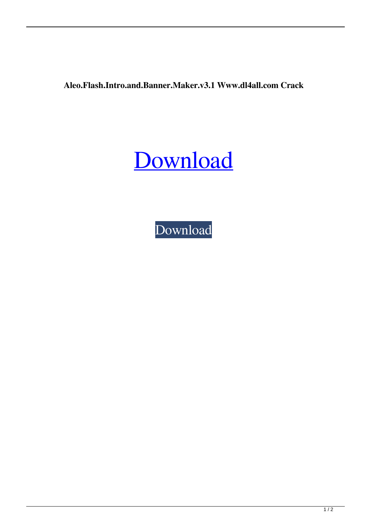**Aleo.Flash.Intro.and.Banner.Maker.v3.1 Www.dl4all.com Crack**



[Download](http://evacdir.com/QWxlby5GbGFzaC5JbnRyby5hbmQuQmFubmVyLk1ha2VyLnYzLjEgV3d3LmRsNGFsbC5jb20gQ3JhY2sQWx/ZG93bmxvYWR8WmUwTW00MWFYeDhNVFkxTWpRMk16QTFNSHg4TWpVM05IeDhLRTBwSUhKbFlXUXRZbXh2WnlCYlJtRnpkQ0JIUlU1ZA/pettit/blindsided/&glaser=fleischers)